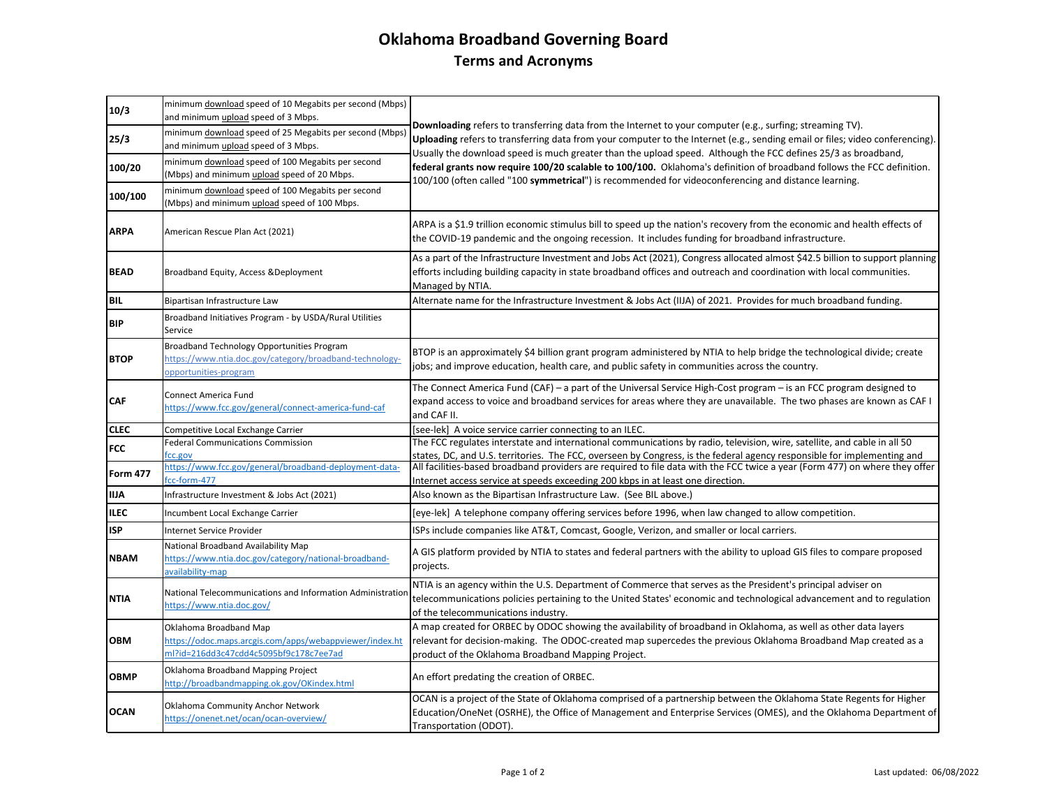## **Oklahoma Broadband Governing Board Terms and Acronyms**

| 10/3            | minimum download speed of 10 Megabits per second (Mbps)<br>and minimum upload speed of 3 Mbps.                                 | Downloading refers to transferring data from the Internet to your computer (e.g., surfing; streaming TV).<br>Uploading refers to transferring data from your computer to the Internet (e.g., sending email or files; video conferencing).<br>Usually the download speed is much greater than the upload speed. Although the FCC defines 25/3 as broadband,<br>federal grants now require 100/20 scalable to 100/100. Oklahoma's definition of broadband follows the FCC definition.<br>100/100 (often called "100 symmetrical") is recommended for videoconferencing and distance learning. |
|-----------------|--------------------------------------------------------------------------------------------------------------------------------|---------------------------------------------------------------------------------------------------------------------------------------------------------------------------------------------------------------------------------------------------------------------------------------------------------------------------------------------------------------------------------------------------------------------------------------------------------------------------------------------------------------------------------------------------------------------------------------------|
| 25/3            | minimum download speed of 25 Megabits per second (Mbps)<br>and minimum upload speed of 3 Mbps.                                 |                                                                                                                                                                                                                                                                                                                                                                                                                                                                                                                                                                                             |
| 100/20          | minimum download speed of 100 Megabits per second<br>(Mbps) and minimum upload speed of 20 Mbps.                               |                                                                                                                                                                                                                                                                                                                                                                                                                                                                                                                                                                                             |
| 100/100         | minimum download speed of 100 Megabits per second<br>(Mbps) and minimum upload speed of 100 Mbps.                              |                                                                                                                                                                                                                                                                                                                                                                                                                                                                                                                                                                                             |
| <b>ARPA</b>     | American Rescue Plan Act (2021)                                                                                                | ARPA is a \$1.9 trillion economic stimulus bill to speed up the nation's recovery from the economic and health effects of<br>the COVID-19 pandemic and the ongoing recession. It includes funding for broadband infrastructure.                                                                                                                                                                                                                                                                                                                                                             |
| <b>BEAD</b>     | Broadband Equity, Access & Deployment                                                                                          | As a part of the Infrastructure Investment and Jobs Act (2021), Congress allocated almost \$42.5 billion to support planning<br>efforts including building capacity in state broadband offices and outreach and coordination with local communities.<br>Managed by NTIA.                                                                                                                                                                                                                                                                                                                    |
| <b>BIL</b>      | Bipartisan Infrastructure Law                                                                                                  | Alternate name for the Infrastructure Investment & Jobs Act (IIJA) of 2021. Provides for much broadband funding.                                                                                                                                                                                                                                                                                                                                                                                                                                                                            |
| <b>BIP</b>      | Broadband Initiatives Program - by USDA/Rural Utilities<br>Service                                                             |                                                                                                                                                                                                                                                                                                                                                                                                                                                                                                                                                                                             |
| <b>BTOP</b>     | Broadband Technology Opportunities Program<br>https://www.ntia.doc.gov/category/broadband-technology-<br>opportunities-program | BTOP is an approximately \$4 billion grant program administered by NTIA to help bridge the technological divide; create<br>jobs; and improve education, health care, and public safety in communities across the country.                                                                                                                                                                                                                                                                                                                                                                   |
| <b>CAF</b>      | <b>Connect America Fund</b><br>https://www.fcc.gov/general/connect-america-fund-caf                                            | The Connect America Fund (CAF) – a part of the Universal Service High-Cost program – is an FCC program designed to<br>expand access to voice and broadband services for areas where they are unavailable. The two phases are known as CAF I<br>and CAF II.                                                                                                                                                                                                                                                                                                                                  |
| <b>CLEC</b>     | Competitive Local Exchange Carrier                                                                                             | [see-lek] A voice service carrier connecting to an ILEC.                                                                                                                                                                                                                                                                                                                                                                                                                                                                                                                                    |
| <b>FCC</b>      | <b>Federal Communications Commission</b>                                                                                       | The FCC regulates interstate and international communications by radio, television, wire, satellite, and cable in all 50                                                                                                                                                                                                                                                                                                                                                                                                                                                                    |
| <b>Form 477</b> | fcc.gov<br>https://www.fcc.gov/general/broadband-deployment-data-<br>fcc-form-477                                              | states, DC, and U.S. territories. The FCC, overseen by Congress, is the federal agency responsible for implementing and<br>All facilities-based broadband providers are required to file data with the FCC twice a year (Form 477) on where they offer<br>Internet access service at speeds exceeding 200 kbps in at least one direction.                                                                                                                                                                                                                                                   |
| <b>IIJA</b>     | Infrastructure Investment & Jobs Act (2021)                                                                                    | Also known as the Bipartisan Infrastructure Law. (See BIL above.)                                                                                                                                                                                                                                                                                                                                                                                                                                                                                                                           |
| <b>ILEC</b>     | Incumbent Local Exchange Carrier                                                                                               | [eye-lek] A telephone company offering services before 1996, when law changed to allow competition.                                                                                                                                                                                                                                                                                                                                                                                                                                                                                         |
| <b>ISP</b>      | <b>Internet Service Provider</b>                                                                                               | ISPs include companies like AT&T, Comcast, Google, Verizon, and smaller or local carriers.                                                                                                                                                                                                                                                                                                                                                                                                                                                                                                  |
| <b>NBAM</b>     | National Broadband Availability Map<br>https://www.ntia.doc.gov/category/national-broadband-<br>availability-map               | A GIS platform provided by NTIA to states and federal partners with the ability to upload GIS files to compare proposed<br>projects.                                                                                                                                                                                                                                                                                                                                                                                                                                                        |
| <b>NTIA</b>     | National Telecommunications and Information Administratior<br>https://www.ntia.doc.gov/                                        | NTIA is an agency within the U.S. Department of Commerce that serves as the President's principal adviser on<br>telecommunications policies pertaining to the United States' economic and technological advancement and to regulation<br>of the telecommunications industry.                                                                                                                                                                                                                                                                                                                |
| <b>OBM</b>      | Oklahoma Broadband Map<br>https://odoc.maps.arcgis.com/apps/webappviewer/index.ht<br>ml?id=216dd3c47cdd4c5095bf9c178c7ee7ad    | A map created for ORBEC by ODOC showing the availability of broadband in Oklahoma, as well as other data layers<br>relevant for decision-making. The ODOC-created map supercedes the previous Oklahoma Broadband Map created as a<br>product of the Oklahoma Broadband Mapping Project.                                                                                                                                                                                                                                                                                                     |
| <b>OBMP</b>     | Oklahoma Broadband Mapping Project<br>http://broadbandmapping.ok.gov/OKindex.html                                              | An effort predating the creation of ORBEC.                                                                                                                                                                                                                                                                                                                                                                                                                                                                                                                                                  |
| <b>OCAN</b>     | Oklahoma Community Anchor Network<br>https://onenet.net/ocan/ocan-overview/                                                    | OCAN is a project of the State of Oklahoma comprised of a partnership between the Oklahoma State Regents for Higher<br>Education/OneNet (OSRHE), the Office of Management and Enterprise Services (OMES), and the Oklahoma Department of<br>Transportation (ODOT).                                                                                                                                                                                                                                                                                                                          |